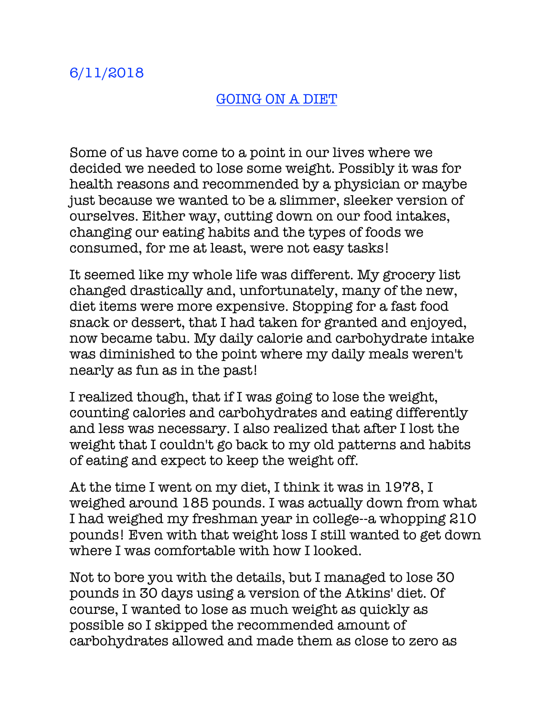## GOING ON A DIET

Some of us have come to a point in our lives where we decided we needed to lose some weight. Possibly it was for health reasons and recommended by a physician or maybe just because we wanted to be a slimmer, sleeker version of ourselves. Either way, cutting down on our food intakes, changing our eating habits and the types of foods we consumed, for me at least, were not easy tasks!

It seemed like my whole life was different. My grocery list changed drastically and, unfortunately, many of the new, diet items were more expensive. Stopping for a fast food snack or dessert, that I had taken for granted and enjoyed, now became tabu. My daily calorie and carbohydrate intake was diminished to the point where my daily meals weren't nearly as fun as in the past!

I realized though, that if I was going to lose the weight, counting calories and carbohydrates and eating differently and less was necessary. I also realized that after I lost the weight that I couldn't go back to my old patterns and habits of eating and expect to keep the weight off.

At the time I went on my diet, I think it was in 1978, I weighed around 185 pounds. I was actually down from what I had weighed my freshman year in college--a whopping 210 pounds! Even with that weight loss I still wanted to get down where I was comfortable with how I looked.

Not to bore you with the details, but I managed to lose 30 pounds in 30 days using a version of the Atkins' diet. Of course, I wanted to lose as much weight as quickly as possible so I skipped the recommended amount of carbohydrates allowed and made them as close to zero as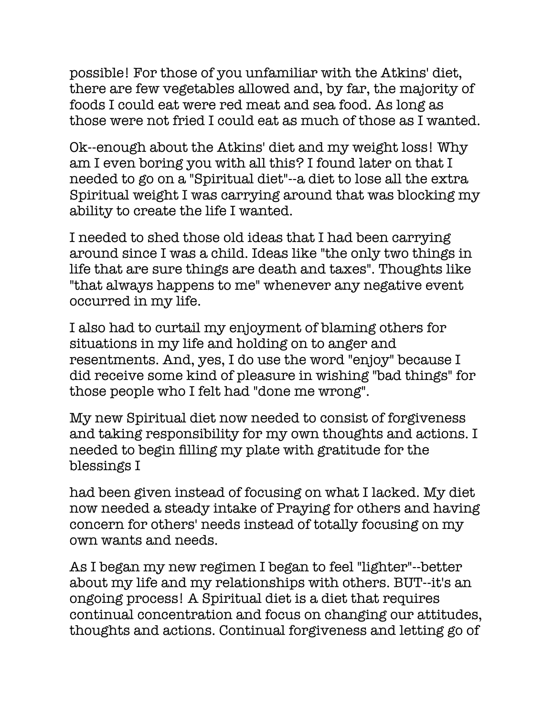possible! For those of you unfamiliar with the Atkins' diet, there are few vegetables allowed and, by far, the majority of foods I could eat were red meat and sea food. As long as those were not fried I could eat as much of those as I wanted.

Ok--enough about the Atkins' diet and my weight loss! Why am I even boring you with all this? I found later on that I needed to go on a "Spiritual diet"--a diet to lose all the extra Spiritual weight I was carrying around that was blocking my ability to create the life I wanted.

I needed to shed those old ideas that I had been carrying around since I was a child. Ideas like "the only two things in life that are sure things are death and taxes". Thoughts like "that always happens to me" whenever any negative event occurred in my life.

I also had to curtail my enjoyment of blaming others for situations in my life and holding on to anger and resentments. And, yes, I do use the word "enjoy" because I did receive some kind of pleasure in wishing "bad things" for those people who I felt had "done me wrong".

My new Spiritual diet now needed to consist of forgiveness and taking responsibility for my own thoughts and actions. I needed to begin filling my plate with gratitude for the blessings I

had been given instead of focusing on what I lacked. My diet now needed a steady intake of Praying for others and having concern for others' needs instead of totally focusing on my own wants and needs.

As I began my new regimen I began to feel "lighter"--better about my life and my relationships with others. BUT--it's an ongoing process! A Spiritual diet is a diet that requires continual concentration and focus on changing our attitudes, thoughts and actions. Continual forgiveness and letting go of